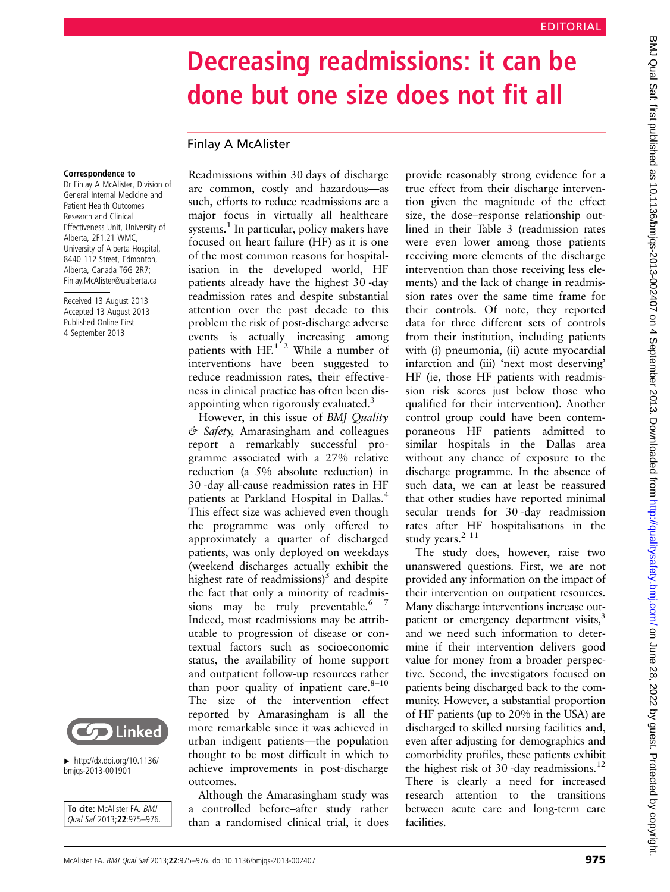## Decreasing readmissions: it can be done but one size does not fit all

## Finlay A McAlister

## Correspondence to

Dr Finlay A McAlister, Division of General Internal Medicine and Patient Health Outcomes Research and Clinical Effectiveness Unit, University of Alberta, 2F1.21 WMC, University of Alberta Hospital, 8440 112 Street, Edmonton, Alberta, Canada T6G 2R7; Finlay.McAlister@ualberta.ca

Received 13 August 2013 Accepted 13 August 2013 Published Online First 4 September 2013



 $\blacktriangleright$  [http://dx.doi.org/10.1136/](http://dx.doi.org/10.1136/bmjqs-2013-001901) [bmjqs-2013-001901](http://dx.doi.org/10.1136/bmjqs-2013-001901)

To cite: McAlister FA. BMJ Qual Saf 2013;22:975–976. Readmissions within 30 days of discharge are common, costly and hazardous—as such, efforts to reduce readmissions are a major focus in virtually all healthcare systems.<sup>1</sup> In particular, policy makers have focused on heart failure (HF) as it is one of the most common reasons for hospitalisation in the developed world, HF patients already have the highest 30 -day readmission rates and despite substantial attention over the past decade to this problem the risk of post-discharge adverse events is actually increasing among patients with  $HF<sup>1<sup>2</sup></sup>$  While a number of interventions have been suggested to reduce readmission rates, their effectiveness in clinical practice has often been disappointing when rigorously evaluated.<sup>3</sup>

However, in this issue of BMJ Quality  $\acute{\sigma}$  Safety, Amarasingham and colleagues report a remarkably successful programme associated with a 27% relative reduction (a 5% absolute reduction) in 30 -day all-cause readmission rates in HF patients at Parkland Hospital in Dallas.<sup>4</sup> This effect size was achieved even though the programme was only offered to approximately a quarter of discharged patients, was only deployed on weekdays (weekend discharges actually exhibit the highest rate of readmissions) $5$  and despite the fact that only a minority of readmissions may be truly preventable.<sup>6 7</sup> Indeed, most readmissions may be attributable to progression of disease or contextual factors such as socioeconomic status, the availability of home support and outpatient follow-up resources rather than poor quality of inpatient care. $8-10$ The size of the intervention effect reported by Amarasingham is all the more remarkable since it was achieved in urban indigent patients—the population thought to be most difficult in which to achieve improvements in post-discharge outcomes.

Although the Amarasingham study was a controlled before–after study rather than a randomised clinical trial, it does

provide reasonably strong evidence for a true effect from their discharge intervention given the magnitude of the effect size, the dose–response relationship outlined in their Table 3 (readmission rates were even lower among those patients receiving more elements of the discharge intervention than those receiving less elements) and the lack of change in readmission rates over the same time frame for their controls. Of note, they reported data for three different sets of controls from their institution, including patients with (i) pneumonia, (ii) acute myocardial infarction and (iii) 'next most deserving' HF (ie, those HF patients with readmission risk scores just below those who qualified for their intervention). Another control group could have been contemporaneous HF patients admitted to similar hospitals in the Dallas area without any chance of exposure to the discharge programme. In the absence of such data, we can at least be reassured that other studies have reported minimal secular trends for 30 -day readmission rates after HF hospitalisations in the study years.<sup>2 11</sup>

The study does, however, raise two unanswered questions. First, we are not provided any information on the impact of their intervention on outpatient resources. Many discharge interventions increase outpatient or emergency department visits,<sup>3</sup> and we need such information to determine if their intervention delivers good value for money from a broader perspective. Second, the investigators focused on patients being discharged back to the community. However, a substantial proportion of HF patients (up to 20% in the USA) are discharged to skilled nursing facilities and, even after adjusting for demographics and comorbidity profiles, these patients exhibit the highest risk of 30-day readmissions.<sup>12</sup> There is clearly a need for increased research attention to the transitions between acute care and long-term care facilities.